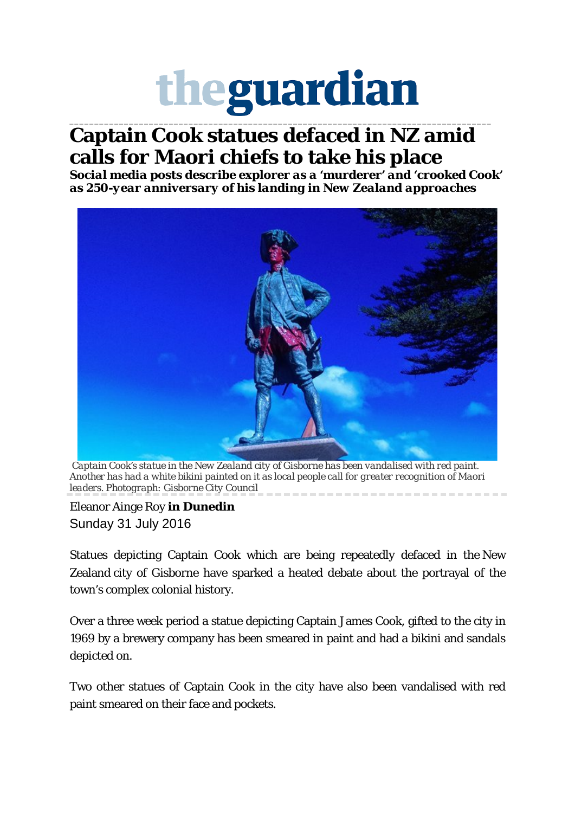## theguardian

## \_\_\_\_\_\_\_\_\_\_\_\_\_\_\_\_\_\_\_\_\_\_\_\_\_\_\_\_\_\_\_\_\_\_\_\_\_\_\_\_\_\_\_\_\_\_\_\_\_\_\_\_\_\_\_\_\_\_\_\_\_\_\_\_\_\_\_\_\_\_\_\_\_\_\_\_\_\_\_\_\_\_\_\_\_ **Captain Cook statues defaced in NZ amid calls for Maori chiefs to take his place**

*Social media posts describe explorer as a 'murderer' and 'crooked Cook' as 250-year anniversary of his landing in New Zealand approaches*



*Captain Cook's statue in the New Zealand city of Gisborne has been vandalised with red paint. Another has had a white bikini painted on it as local people call for greater recognition of Maori leaders. Photograph: Gisborne City Council*

Eleanor Ainge Roy **in Dunedin** Sunday 31 July 2016

Statues depicting Captain Cook which are being repeatedly defaced in the New Zealand city of Gisborne have sparked a heated debate about the portrayal of the town's complex colonial history.

Over a three week period a statue depicting Captain James Cook, gifted to the city in 1969 by a brewery company has been smeared in paint and had a bikini and sandals depicted on.

Two other statues of Captain Cook in the city have also been vandalised with red paint smeared on their face and pockets.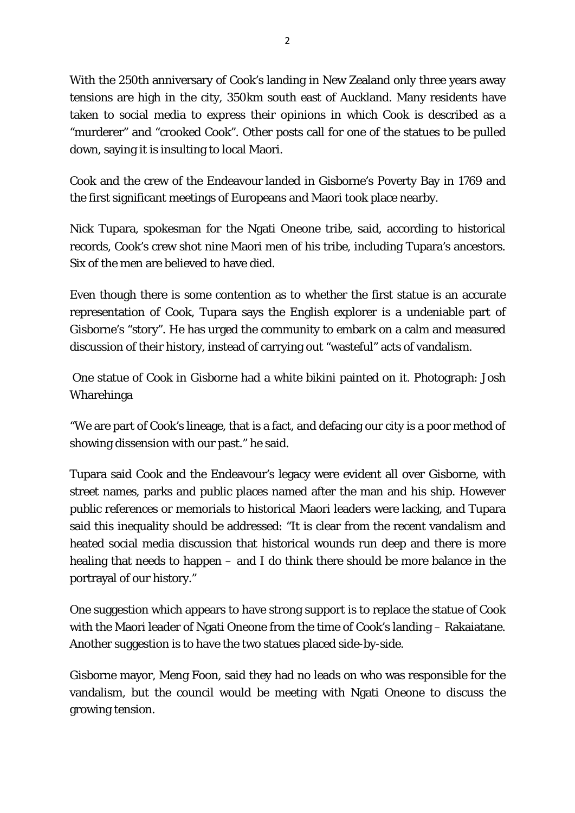With the 250th anniversary of Cook's landing in New Zealand only three years away tensions are high in the city, 350km south east of Auckland. Many residents have taken to social media to express their opinions in which Cook is described as a "murderer" and "crooked Cook". Other posts call for one of the statues to be pulled down, saying it is insulting to local Maori.

Cook and the crew of the Endeavour landed in Gisborne's Poverty Bay in 1769 and the first significant meetings of Europeans and Maori took place nearby.

Nick Tupara, spokesman for the Ngati Oneone tribe, said, according to historical records, Cook's crew shot nine Maori men of his tribe, including Tupara's ancestors. Six of the men are believed to have died.

Even though there is some contention as to whether the first statue is an accurate representation of Cook, Tupara says the English explorer is a undeniable part of Gisborne's "story". He has urged the community to embark on a calm and measured discussion of their history, instead of carrying out "wasteful" acts of vandalism.

One statue of Cook in Gisborne had a white bikini painted on it. Photograph: Josh Wharehinga

"We are part of Cook's lineage, that is a fact, and defacing our city is a poor method of showing dissension with our past." he said.

Tupara said Cook and the Endeavour's legacy were evident all over Gisborne, with street names, parks and public places named after the man and his ship. However public references or memorials to historical Maori leaders were lacking, and Tupara said this inequality should be addressed: "It is clear from the recent vandalism and heated social media discussion that historical wounds run deep and there is more healing that needs to happen – and I do think there should be more balance in the portrayal of our history."

One suggestion which appears to have strong support is to replace the statue of Cook with the Maori leader of Ngati Oneone from the time of Cook's landing – Rakaiatane. Another suggestion is to have the two statues placed side-by-side.

Gisborne mayor, Meng Foon, said they had no leads on who was responsible for the vandalism, but the council would be meeting with Ngati Oneone to discuss the growing tension.